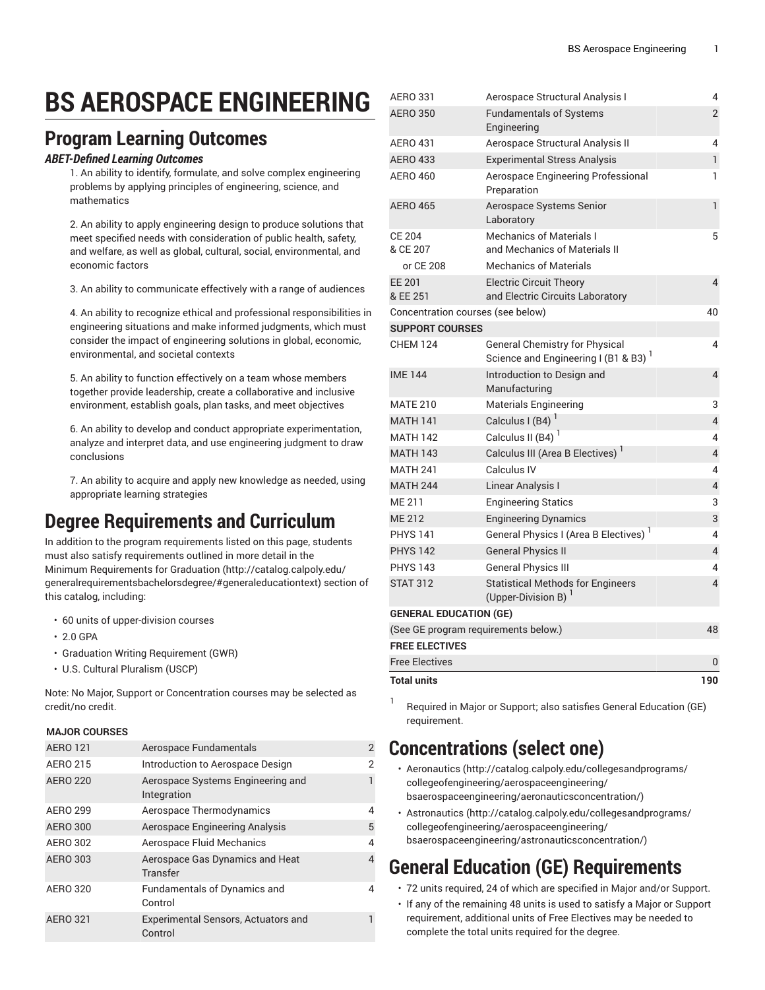# **BS AEROSPACE ENGINEERING**

### **Program Learning Outcomes**

#### *ABET-Defined Learning Outcomes*

1. An ability to identify, formulate, and solve complex engineering problems by applying principles of engineering, science, and mathematics

2. An ability to apply engineering design to produce solutions that meet specified needs with consideration of public health, safety, and welfare, as well as global, cultural, social, environmental, and economic factors

3. An ability to communicate effectively with a range of audiences

4. An ability to recognize ethical and professional responsibilities in engineering situations and make informed judgments, which must consider the impact of engineering solutions in global, economic, environmental, and societal contexts

5. An ability to function effectively on a team whose members together provide leadership, create a collaborative and inclusive environment, establish goals, plan tasks, and meet objectives

6. An ability to develop and conduct appropriate experimentation, analyze and interpret data, and use engineering judgment to draw conclusions

7. An ability to acquire and apply new knowledge as needed, using appropriate learning strategies

# **Degree Requirements and Curriculum**

In addition to the program requirements listed on this page, students must also satisfy requirements outlined in more detail in the Minimum [Requirements](http://catalog.calpoly.edu/generalrequirementsbachelorsdegree/#generaleducationtext) for Graduation ([http://catalog.calpoly.edu/](http://catalog.calpoly.edu/generalrequirementsbachelorsdegree/#generaleducationtext) [generalrequirementsbachelorsdegree/#generaleducationtext\)](http://catalog.calpoly.edu/generalrequirementsbachelorsdegree/#generaleducationtext) section of this catalog, including:

- 60 units of upper-division courses
- 2.0 GPA
- Graduation Writing Requirement (GWR)
- U.S. Cultural Pluralism (USCP)

Note: No Major, Support or Concentration courses may be selected as credit/no credit.

#### **MAJOR COURSES**

| <b>AERO 121</b> | Aerospace Fundamentals                                |   |
|-----------------|-------------------------------------------------------|---|
| <b>AERO 215</b> | Introduction to Aerospace Design                      | 2 |
| <b>AERO 220</b> | Aerospace Systems Engineering and<br>Integration      |   |
| <b>AERO 299</b> | Aerospace Thermodynamics                              | 4 |
| <b>AERO 300</b> | <b>Aerospace Engineering Analysis</b>                 | 5 |
| AERO 302        | Aerospace Fluid Mechanics                             | 4 |
| <b>AERO 303</b> | Aerospace Gas Dynamics and Heat<br>Transfer           |   |
| <b>AERO 320</b> | Fundamentals of Dynamics and<br>Control               |   |
| <b>AERO 321</b> | <b>Experimental Sensors, Actuators and</b><br>Control |   |

| <b>AERO 331</b>                            | Aerospace Structural Analysis I                                                           | 4                       |  |  |
|--------------------------------------------|-------------------------------------------------------------------------------------------|-------------------------|--|--|
| <b>AERO 350</b>                            | <b>Fundamentals of Systems</b><br>Engineering                                             | $\overline{2}$          |  |  |
| <b>AERO 431</b>                            | Aerospace Structural Analysis II                                                          | 4                       |  |  |
| <b>AERO 433</b>                            | <b>Experimental Stress Analysis</b>                                                       | $\mathbf{1}$            |  |  |
| <b>AERO 460</b>                            | Aerospace Engineering Professional<br>Preparation                                         | 1                       |  |  |
| <b>AERO 465</b>                            | Aerospace Systems Senior<br>Laboratory                                                    | $\mathbf{1}$            |  |  |
| <b>CE 204</b>                              | <b>Mechanics of Materials I</b>                                                           | 5                       |  |  |
| & CE 207                                   | and Mechanics of Materials II                                                             |                         |  |  |
| or CE 208                                  | <b>Mechanics of Materials</b>                                                             |                         |  |  |
| <b>EE 201</b><br>& EE 251                  | <b>Electric Circuit Theory</b><br>and Electric Circuits Laboratory                        | 4                       |  |  |
| Concentration courses (see below)          |                                                                                           | 40                      |  |  |
| <b>SUPPORT COURSES</b>                     |                                                                                           |                         |  |  |
| <b>CHEM 124</b>                            | <b>General Chemistry for Physical</b><br>Science and Engineering I (B1 & B3) <sup>1</sup> | 4                       |  |  |
| <b>IME 144</b>                             | Introduction to Design and<br>Manufacturing                                               | $\overline{4}$          |  |  |
| <b>MATE 210</b>                            | Materials Engineering                                                                     | 3                       |  |  |
| <b>MATH 141</b>                            | Calculus I (B4) $1$                                                                       | $\overline{4}$          |  |  |
| <b>MATH 142</b>                            | Calculus II (B4) <sup>1</sup>                                                             | 4                       |  |  |
| <b>MATH 143</b>                            | Calculus III (Area B Electives) <sup>1</sup>                                              | $\overline{\mathbf{4}}$ |  |  |
| <b>MATH 241</b>                            | Calculus IV                                                                               | 4                       |  |  |
| <b>MATH 244</b>                            | Linear Analysis I                                                                         | $\overline{4}$          |  |  |
| ME 211                                     | <b>Engineering Statics</b>                                                                | 3                       |  |  |
| <b>ME 212</b>                              | <b>Engineering Dynamics</b>                                                               | 3                       |  |  |
| <b>PHYS 141</b>                            | General Physics I (Area B Electives) <sup>1</sup>                                         | 4                       |  |  |
| <b>PHYS 142</b>                            | <b>General Physics II</b>                                                                 | $\overline{4}$          |  |  |
| <b>PHYS 143</b>                            | <b>General Physics III</b>                                                                | 4                       |  |  |
| <b>STAT 312</b>                            | <b>Statistical Methods for Engineers</b><br>(Upper-Division B) $1$                        | $\overline{4}$          |  |  |
| <b>GENERAL EDUCATION (GE)</b>              |                                                                                           |                         |  |  |
| (See GE program requirements below.)<br>48 |                                                                                           |                         |  |  |
| <b>FREE ELECTIVES</b>                      |                                                                                           |                         |  |  |
| <b>Free Electives</b>                      |                                                                                           | 0                       |  |  |
| <b>Total units</b>                         |                                                                                           | 190                     |  |  |

1 Required in Major or Support; also satisfies General Education (GE) requirement.

### **Concentrations (select one)**

- [Aeronautics \(http://catalog.calpoly.edu/collegesandprograms/](http://catalog.calpoly.edu/collegesandprograms/collegeofengineering/aerospaceengineering/bsaerospaceengineering/aeronauticsconcentration/) [collegeofengineering/aerospaceengineering/](http://catalog.calpoly.edu/collegesandprograms/collegeofengineering/aerospaceengineering/bsaerospaceengineering/aeronauticsconcentration/) [bsaerospaceengineering/aeronauticsconcentration/\)](http://catalog.calpoly.edu/collegesandprograms/collegeofengineering/aerospaceengineering/bsaerospaceengineering/aeronauticsconcentration/)
- [Astronautics](http://catalog.calpoly.edu/collegesandprograms/collegeofengineering/aerospaceengineering/bsaerospaceengineering/astronauticsconcentration/) [\(http://catalog.calpoly.edu/collegesandprograms/](http://catalog.calpoly.edu/collegesandprograms/collegeofengineering/aerospaceengineering/bsaerospaceengineering/astronauticsconcentration/) [collegeofengineering/aerospaceengineering/](http://catalog.calpoly.edu/collegesandprograms/collegeofengineering/aerospaceengineering/bsaerospaceengineering/astronauticsconcentration/) [bsaerospaceengineering/astronauticsconcentration/\)](http://catalog.calpoly.edu/collegesandprograms/collegeofengineering/aerospaceengineering/bsaerospaceengineering/astronauticsconcentration/)

# **General Education (GE) Requirements**

- 72 units required, 24 of which are specified in Major and/or Support.
- If any of the remaining 48 units is used to satisfy a Major or Support requirement, additional units of Free Electives may be needed to complete the total units required for the degree.